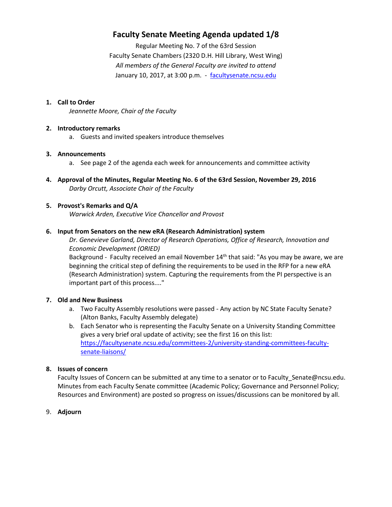## **Faculty Senate Meeting Agenda updated 1/8**

Regular Meeting No. 7 of the 63rd Session Faculty Senate Chambers (2320 D.H. Hill Library, West Wing) *All members of the General Faculty are invited to attend* January 10, 2017, at 3:00 p.m. - [facultysenate.ncsu.edu](https://facultysenate.ncsu.edu/)

## **1. Call to Order**

*Jeannette Moore, Chair of the Faculty*

#### **2. Introductory remarks**

a. Guests and invited speakers introduce themselves

#### **3. Announcements**

- a. See page 2 of the agenda each week for announcements and committee activity
- **4. Approval of the Minutes, Regular Meeting No. 6 of the 63rd Session, November 29, 2016** *Darby Orcutt, Associate Chair of the Faculty*

#### **5. Provost's Remarks and Q/A**

*Warwick Arden, Executive Vice Chancellor and Provost*

#### **6. Input from Senators on the new eRA (Research Administration) system**

*Dr. Genevieve Garland, Director of Research Operations, Office of Research, Innovation and Economic Development (ORIED)*

Background - Faculty received an email November  $14<sup>th</sup>$  that said: "As you may be aware, we are beginning the critical step of defining the requirements to be used in the RFP for a new eRA (Research Administration) system. Capturing the requirements from the PI perspective is an important part of this process...."

## **7. Old and New Business**

- a. Two Faculty Assembly resolutions were passed Any action by NC State Faculty Senate? (Alton Banks, Faculty Assembly delegate)
- b. Each Senator who is representing the Faculty Senate on a University Standing Committee gives a very brief oral update of activity; see the first 16 on this list: [https://facultysenate.ncsu.edu/committees-2/university-standing-committees-faculty](https://facultysenate.ncsu.edu/committees-2/university-standing-committees-faculty-senate-liaisons/)[senate-liaisons/](https://facultysenate.ncsu.edu/committees-2/university-standing-committees-faculty-senate-liaisons/)

## **8. Issues of concern**

Faculty Issues of Concern can be submitted at any time to a senator or to Faculty\_Senate@ncsu.edu. Minutes from each Faculty Senate committee (Academic Policy; Governance and Personnel Policy; Resources and Environment) are posted so progress on issues/discussions can be monitored by all.

#### 9. **Adjourn**